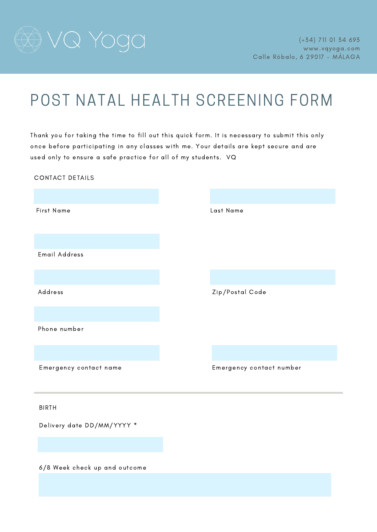

### POST NATAL HEALTH SCREENING FORM

Thank you for taking the time to fill out this quick form. It is necessary to submit this only once before participating in any classes with me. Your details are kept secure and are used only to ensure a safe practice for all of my students. VQ

First Name Last Name Email Address Address Zip/Postal Code Phone number Emergency contact name Emergency contact number Delivery date DD/MM/YYYY \* CONTACT DETAILS BIRTH

6/8 Week check up and outcome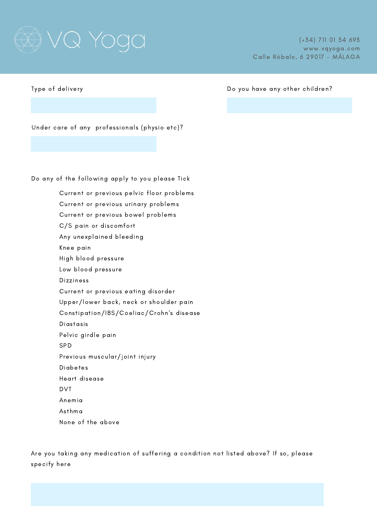# ). YOQQ

Type of delivery

#### Do you have any other children?

Under care of any professionals (physio etc)?

Do any of the following apply to you please Tick

Current or previous pelvic floor problems Current or previous urinary problems Current or previous bowel problems C/S pain or discomfort Any unexplained bleeding Knee pain High blood pressure Low blood pressure Dizziness Current or previous eating disorder Upper/lower back, neck or shoulder pain Constipation/IBS/Coeliac/Crohn's disease Diastasis Pelvic girdle pain SPD Previous muscular/joint injury Diabetes Heart disease DVT Anemia Asthma None of the above

Are you taking any medication of suffering a condition not listed above? If so, please specify here